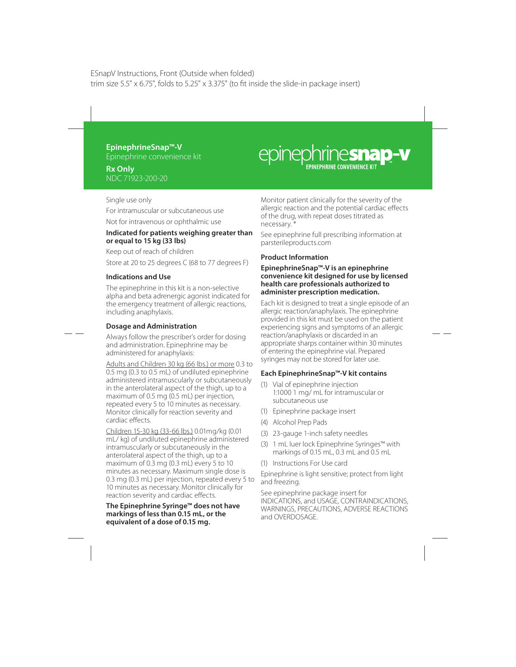# **EpinephrineSnap™-V**

Epinephrine convenience kit

## **Rx Only** NDC 71923-200-20

# epinephrinesnap-v

Single use only For intramuscular or subcutaneous use Not for intravenous or ophthalmic use

#### **Indicated for patients weighing greater than or equal to 15 kg (33 lbs)**

Keep out of reach of children

Store at 20 to 25 degrees C (68 to 77 degrees F)

## **Indications and Use**

The epinephrine in this kit is a non-selective alpha and beta adrenergic agonist indicated for the emergency treatment of allergic reactions, including anaphylaxis.

# **Dosage and Administration**

Always follow the prescriber's order for dosing and administration. Epinephrine may be administered for anaphylaxis:

Adults and Children 30 kg (66 lbs.) or more 0.3 to 0.5 mg (0.3 to 0.5 mL) of undiluted epinephrine administered intramuscularly or subcutaneously in the anterolateral aspect of the thigh, up to a maximum of 0.5 mg (0.5 mL) per injection, repeated every 5 to 10 minutes as necessary. Monitor clinically for reaction severity and cardiac effects.

Children 15-30 kg (33-66 lbs.) 0.01mg/kg (0.01 mL/ kg) of undiluted epinephrine administered intramuscularly or subcutaneously in the anterolateral aspect of the thigh, up to a maximum of 0.3 mg (0.3 mL) every 5 to 10 minutes as necessary. Maximum single dose is 0.3 mg (0.3 mL) per injection, repeated every 5 to 10 minutes as necessary. Monitor clinically for reaction severity and cardiac effects.

**The Epinephrine Syringe™ does not have markings of less than 0.15 mL, or the equivalent of a dose of 0.15 mg.**

Monitor patient clinically for the severity of the allergic reaction and the potential cardiac effects of the drug, with repeat doses titrated as necessary. \*

See epinephrine full prescribing information at parsterileproducts.com

# **Product Information**

#### **EpinephrineSnap™-V is an epinephrine convenience kit designed for use by licensed health care professionals authorized to administer prescription medication.**

Each kit is designed to treat a single episode of an allergic reaction/anaphylaxis. The epinephrine provided in this kit must be used on the patient experiencing signs and symptoms of an allergic reaction/anaphylaxis or discarded in an appropriate sharps container within 30 minutes of entering the epinephrine vial. Prepared syringes may not be stored for later use.

## **Each EpinephrineSnap™-V kit contains**

- (1) Vial of epinephrine injection 1:1000 1 mg/ mL for intramuscular or subcutaneous use
- (1) Epinephrine package insert
- (4) Alcohol Prep Pads
- (3) 23-gauge 1-inch safety needles
- (3) 1 mL luer lock Epinephrine Syringes™ with markings of 0.15 mL, 0.3 mL and 0.5 mL
- (1) Instructions For Use card

Epinephrine is light sensitive; protect from light and freezing.

See epinephrine package insert for INDICATIONS, and USAGE, CONTRAINDICATIONS, WARNINGS, PRECAUTIONS, ADVERSE REACTIONS and OVERDOSAGE.